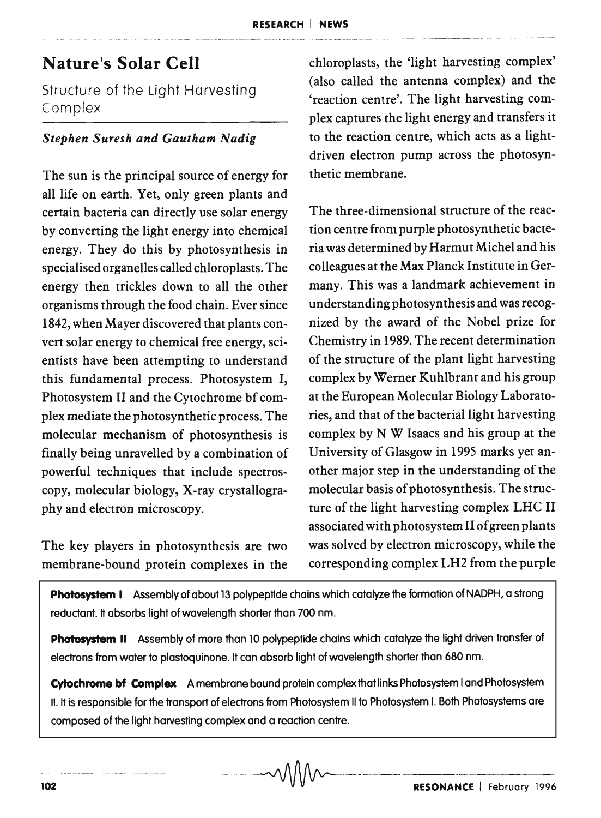## **Nature's Solar Cell**

Structure of the Light Harvesting Complex

## *Stephen SUTesh and Gautham Nadig*

The sun is the principal source of energy for all life on earth. Yet, only green plants and certain bacteria can directly use solar energy by converting the light energy into chemical energy. They do this by photosynthesis in specialised organelles called chloroplasts. The energy then trickles down to all the other organisms through the food chain. Ever since 1842, when Mayer discovered that plants convert solar energy to chemical free energy, scientists have been attempting to understand this fundamental process. Photosystem I, Photosystem II and the Cytochrome bf complex mediate the photosynthetic process. The molecular mechanism of photosynthesis is finally being unravelled by a combination of powerful techniques that include spectroscopy, molecular biology, X-ray crystallography and electron microscopy.

membrane-bound protein complexes in the corresponding complex LH2 from the purple

chloroplasts, the 'light harvesting complex' (also called the antenna complex) and the 'reaction centre'. The light harvesting complex captures the light energy and transfers it to the reaction centre, which acts as a lightdriven electron pump across the photosynthetic membrane.

The three-dimensional structure of the reaction centre from purple photosynthetic bacteria was determined by Harmut Michel and his colleagues at the Max Planck Institute in Germany. This was a landmark achievement in understanding photosynthesis and was recognized by the award of the Nobel prize for Chemistry in 1989. The recent determination of the structure of the plant light harvesting complex by Werner Kuhlbrant and his group at the European Molecular Biology Laboratories, and that of the bacterial light harvesting complex by N W Isaacs and his group at the University of Glasgow in 1995 marks yet another major step in the understanding of the molecular basis of photosynthesis. The structure of the light harvesting complex LHC II associated with photosystem II of green plants The key players in photosynthesis are two was solved by electron microscopy, while the

Photosystem I Assembly of about 13 polypeptide chains which catalyze the formation of NADPH, a strong reductant. It absorbs light of wavelength shorter than 700 nm.

**Photosystem II** Assembly of more than 10 polypeptide chains which catalyze the light driven transfer of electrons from water to plastoquinone. It can absorb light of wavelength shorter than 680 nm.

**Cytochrome bf Complex A** membrane bound protein complex that links Photosystem I and Photosystem II. It is responsible for the transport of electrons from Photosystem II to Photosystem I. Both Photosystems are composed of the light harvesting complex and a reaction centre.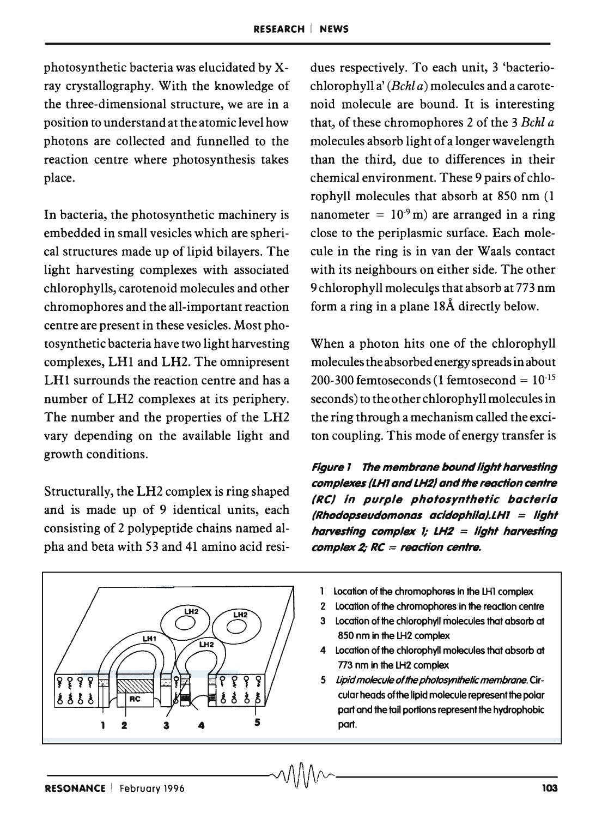photosynthetic bacteria was elucidated by xray crystallography. With the knowledge of the three-dimensional structure, we are in a position to understand at the atomic level how photons are collected and funnelled to the reaction centre where photosynthesis takes place.

In bacteria, the photosynthetic machinery is embedded in small vesicles which are spherical structures made up of lipid bilayers. The light harvesting complexes with associated chlorophylls, carotenoid molecules and other chromophores and the all-important reaction centre are present in these vesicles. Most photosynthetic bacteria have two light harvesting complexes, LH1 and LH2. The omnipresent LHI surrounds the reaction centre and has a number of LH2 complexes at its periphery. The number and the properties of the LH2 vary depending on the available light and growth conditions.

Structurally, the LH2 complex is ring shaped and is made up of 9 identical units, each consisting of 2 polypeptide chains named alpha and beta with 53 and 41 amino acid resi-

LH<sub>2</sub> LH1 LH<sub>2</sub> စု ရှ 2 3 4 5 *--------J\!\rV\rv ,-------*

dues respectively. To each unit, 3 'bacteriochlorophyll a' *(Bchl a)* molecules and a carotenoid molecule are bound. It is interesting that, of these chromophores 2 of the 3 *Bchl a*  molecules absorb light of a longer wavelength than the third, due to differences in their chemical environment. These 9 pairs of chlorophyll molecules that absorb at 850 nm (1 nanometer =  $10<sup>-9</sup>$  m) are arranged in a ring close to the periplasmic surface. Each molecule in the ring is in van der Waals contact with its neighbours on either side. The other 9 chlorophyll molecules that absorb at 773 nm form a ring in a plane 18A directly below.

When a photon hits one of the chlorophyll molecules the absorbed energy spreads in about 200-300 femtoseconds (1 femtosecond =  $10^{-15}$ seconds) to the other chlorophyll molecules in the ring through a mechanism called the exciton coupling. This mode of energy transfer is

Figure 1 The membrane bound light harvesting complexes (LH1 and LH2) and the reaction centre (Re) In purple photosynthetic bacteria  $(Rhodopseudomonas acidophila).LHI = light$ harvesting complex 1;  $LH2 =$  light harvesting complex 2;  $RC = reaction$  centre.

- Location of the chromophores in the LHl complex
- 2 Location of the chromophores in the reaction centre
- 3 Location of the chlorophyll molecules that absorb at 850 nm in the LH2 complex
- 4 Location of the chlorophyll molecules that absorb at 773 nm in the LH<sub>2</sub> complex
- 5 lipid molecule of the photosynthetic membrane. Circular heads of the lipid molecule represent the polar part and the tail portions represent the hydrophobic part.